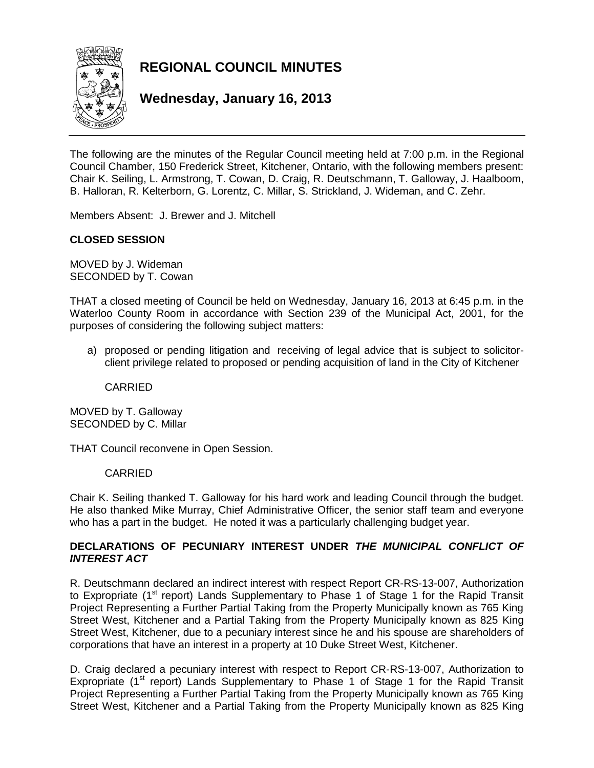

**REGIONAL COUNCIL MINUTES**

**Wednesday, January 16, 2013**

The following are the minutes of the Regular Council meeting held at 7:00 p.m. in the Regional Council Chamber, 150 Frederick Street, Kitchener, Ontario, with the following members present: Chair K. Seiling, L. Armstrong, T. Cowan, D. Craig, R. Deutschmann, T. Galloway, J. Haalboom, B. Halloran, R. Kelterborn, G. Lorentz, C. Millar, S. Strickland, J. Wideman, and C. Zehr.

Members Absent: J. Brewer and J. Mitchell

# **CLOSED SESSION**

MOVED by J. Wideman SECONDED by T. Cowan

THAT a closed meeting of Council be held on Wednesday, January 16, 2013 at 6:45 p.m. in the Waterloo County Room in accordance with Section 239 of the Municipal Act, 2001, for the purposes of considering the following subject matters:

a) proposed or pending litigation and receiving of legal advice that is subject to solicitorclient privilege related to proposed or pending acquisition of land in the City of Kitchener

CARRIED

MOVED by T. Galloway SECONDED by C. Millar

THAT Council reconvene in Open Session.

#### CARRIED

Chair K. Seiling thanked T. Galloway for his hard work and leading Council through the budget. He also thanked Mike Murray, Chief Administrative Officer, the senior staff team and everyone who has a part in the budget. He noted it was a particularly challenging budget year.

## **DECLARATIONS OF PECUNIARY INTEREST UNDER** *THE MUNICIPAL CONFLICT OF INTEREST ACT*

R. Deutschmann declared an indirect interest with respect Report CR-RS-13-007, Authorization to Expropriate (1<sup>st</sup> report) Lands Supplementary to Phase 1 of Stage 1 for the Rapid Transit Project Representing a Further Partial Taking from the Property Municipally known as 765 King Street West, Kitchener and a Partial Taking from the Property Municipally known as 825 King Street West, Kitchener, due to a pecuniary interest since he and his spouse are shareholders of corporations that have an interest in a property at 10 Duke Street West, Kitchener.

D. Craig declared a pecuniary interest with respect to Report CR-RS-13-007, Authorization to Expropriate (1<sup>st</sup> report) Lands Supplementary to Phase 1 of Stage 1 for the Rapid Transit Project Representing a Further Partial Taking from the Property Municipally known as 765 King Street West, Kitchener and a Partial Taking from the Property Municipally known as 825 King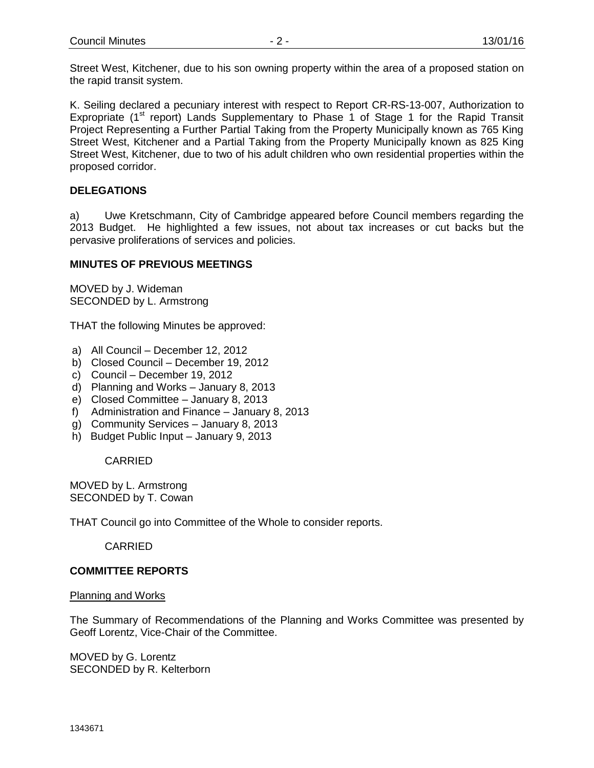Street West, Kitchener, due to his son owning property within the area of a proposed station on the rapid transit system.

K. Seiling declared a pecuniary interest with respect to Report CR-RS-13-007, Authorization to Expropriate (1<sup>st</sup> report) Lands Supplementary to Phase 1 of Stage 1 for the Rapid Transit Project Representing a Further Partial Taking from the Property Municipally known as 765 King Street West, Kitchener and a Partial Taking from the Property Municipally known as 825 King Street West, Kitchener, due to two of his adult children who own residential properties within the proposed corridor.

# **DELEGATIONS**

a) Uwe Kretschmann, City of Cambridge appeared before Council members regarding the 2013 Budget. He highlighted a few issues, not about tax increases or cut backs but the pervasive proliferations of services and policies.

## **MINUTES OF PREVIOUS MEETINGS**

MOVED by J. Wideman SECONDED by L. Armstrong

THAT the following Minutes be approved:

- a) All Council December 12, 2012
- b) Closed Council December 19, 2012
- c) Council December 19, 2012
- d) Planning and Works January 8, 2013
- e) Closed Committee January 8, 2013
- f) Administration and Finance January 8, 2013
- g) Community Services January 8, 2013
- h) Budget Public Input January 9, 2013

CARRIED

MOVED by L. Armstrong SECONDED by T. Cowan

THAT Council go into Committee of the Whole to consider reports.

CARRIED

## **COMMITTEE REPORTS**

#### Planning and Works

The Summary of Recommendations of the Planning and Works Committee was presented by Geoff Lorentz, Vice-Chair of the Committee.

MOVED by G. Lorentz SECONDED by R. Kelterborn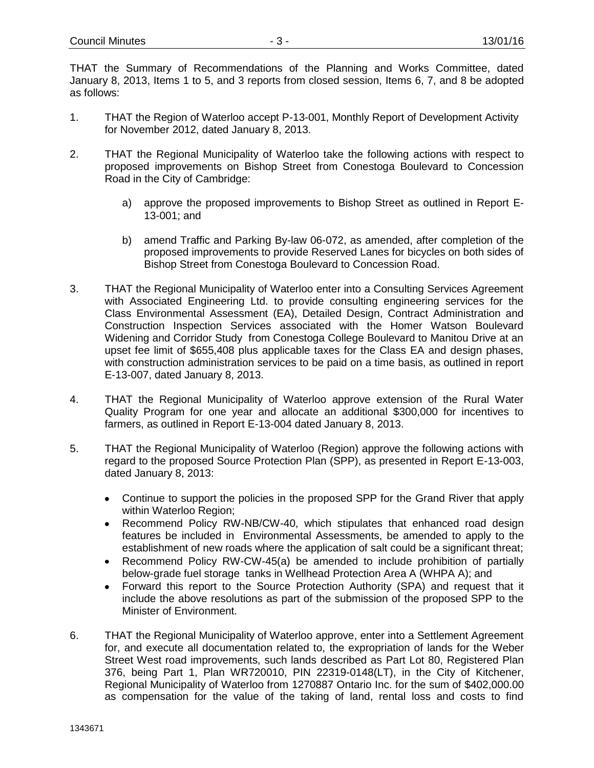THAT the Summary of Recommendations of the Planning and Works Committee, dated January 8, 2013, Items 1 to 5, and 3 reports from closed session, Items 6, 7, and 8 be adopted as follows:

- 1. THAT the Region of Waterloo accept P-13-001, Monthly Report of Development Activity for November 2012, dated January 8, 2013.
- 2. THAT the Regional Municipality of Waterloo take the following actions with respect to proposed improvements on Bishop Street from Conestoga Boulevard to Concession Road in the City of Cambridge:
	- a) approve the proposed improvements to Bishop Street as outlined in Report E-13-001; and
	- b) amend Traffic and Parking By-law 06-072, as amended, after completion of the proposed improvements to provide Reserved Lanes for bicycles on both sides of Bishop Street from Conestoga Boulevard to Concession Road.
- 3. THAT the Regional Municipality of Waterloo enter into a Consulting Services Agreement with Associated Engineering Ltd. to provide consulting engineering services for the Class Environmental Assessment (EA), Detailed Design, Contract Administration and Construction Inspection Services associated with the Homer Watson Boulevard Widening and Corridor Study from Conestoga College Boulevard to Manitou Drive at an upset fee limit of \$655,408 plus applicable taxes for the Class EA and design phases, with construction administration services to be paid on a time basis, as outlined in report E-13-007, dated January 8, 2013.
- 4. THAT the Regional Municipality of Waterloo approve extension of the Rural Water Quality Program for one year and allocate an additional \$300,000 for incentives to farmers, as outlined in Report E-13-004 dated January 8, 2013.
- 5. THAT the Regional Municipality of Waterloo (Region) approve the following actions with regard to the proposed Source Protection Plan (SPP), as presented in Report E-13-003, dated January 8, 2013:
	- Continue to support the policies in the proposed SPP for the Grand River that apply within Waterloo Region;
	- Recommend Policy RW-NB/CW-40, which stipulates that enhanced road design features be included in Environmental Assessments, be amended to apply to the establishment of new roads where the application of salt could be a significant threat;
	- Recommend Policy RW-CW-45(a) be amended to include prohibition of partially below-grade fuel storage tanks in Wellhead Protection Area A (WHPA A); and
	- $\bullet$ Forward this report to the Source Protection Authority (SPA) and request that it include the above resolutions as part of the submission of the proposed SPP to the Minister of Environment.
- 6. THAT the Regional Municipality of Waterloo approve, enter into a Settlement Agreement for, and execute all documentation related to, the expropriation of lands for the Weber Street West road improvements, such lands described as Part Lot 80, Registered Plan 376, being Part 1, Plan WR720010, PIN 22319-0148(LT), in the City of Kitchener, Regional Municipality of Waterloo from 1270887 Ontario Inc. for the sum of \$402,000.00 as compensation for the value of the taking of land, rental loss and costs to find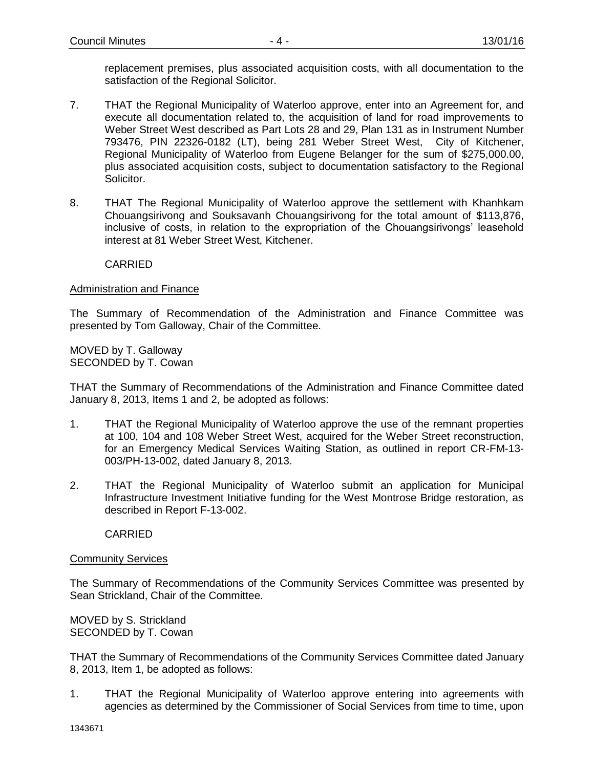replacement premises, plus associated acquisition costs, with all documentation to the satisfaction of the Regional Solicitor.

- 7. THAT the Regional Municipality of Waterloo approve, enter into an Agreement for, and execute all documentation related to, the acquisition of land for road improvements to Weber Street West described as Part Lots 28 and 29, Plan 131 as in Instrument Number 793476, PIN 22326-0182 (LT), being 281 Weber Street West, City of Kitchener, Regional Municipality of Waterloo from Eugene Belanger for the sum of \$275,000.00, plus associated acquisition costs, subject to documentation satisfactory to the Regional Solicitor.
- 8. THAT The Regional Municipality of Waterloo approve the settlement with Khanhkam Chouangsirivong and Souksavanh Chouangsirivong for the total amount of \$113,876, inclusive of costs, in relation to the expropriation of the Chouangsirivongs' leasehold interest at 81 Weber Street West, Kitchener.

### CARRIED

### Administration and Finance

The Summary of Recommendation of the Administration and Finance Committee was presented by Tom Galloway, Chair of the Committee.

MOVED by T. Galloway SECONDED by T. Cowan

THAT the Summary of Recommendations of the Administration and Finance Committee dated January 8, 2013, Items 1 and 2, be adopted as follows:

- 1. THAT the Regional Municipality of Waterloo approve the use of the remnant properties at 100, 104 and 108 Weber Street West, acquired for the Weber Street reconstruction, for an Emergency Medical Services Waiting Station, as outlined in report CR-FM-13- 003/PH-13-002, dated January 8, 2013.
- 2. THAT the Regional Municipality of Waterloo submit an application for Municipal Infrastructure Investment Initiative funding for the West Montrose Bridge restoration, as described in Report F-13-002.

CARRIED

#### **Community Services**

The Summary of Recommendations of the Community Services Committee was presented by Sean Strickland, Chair of the Committee.

MOVED by S. Strickland SECONDED by T. Cowan

THAT the Summary of Recommendations of the Community Services Committee dated January 8, 2013, Item 1, be adopted as follows:

1. THAT the Regional Municipality of Waterloo approve entering into agreements with agencies as determined by the Commissioner of Social Services from time to time, upon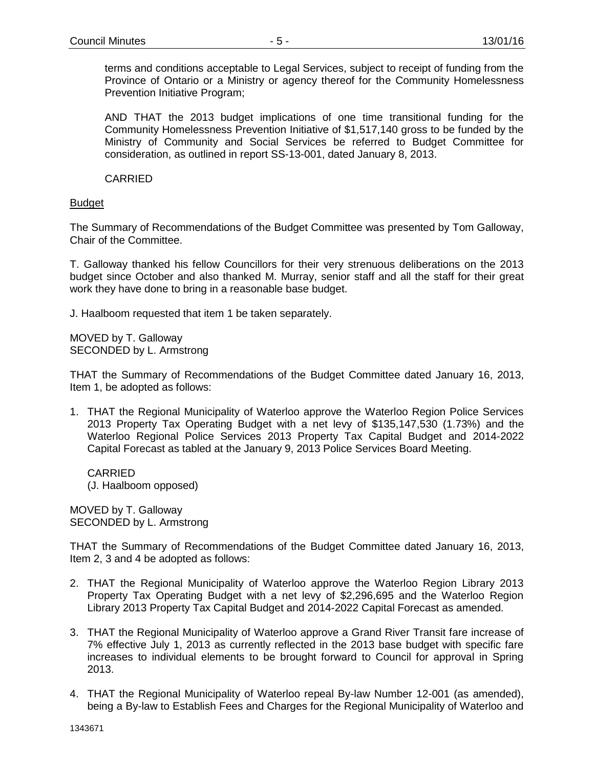terms and conditions acceptable to Legal Services, subject to receipt of funding from the Province of Ontario or a Ministry or agency thereof for the Community Homelessness Prevention Initiative Program;

AND THAT the 2013 budget implications of one time transitional funding for the Community Homelessness Prevention Initiative of \$1,517,140 gross to be funded by the Ministry of Community and Social Services be referred to Budget Committee for consideration, as outlined in report SS-13-001, dated January 8, 2013.

CARRIED

# Budget

The Summary of Recommendations of the Budget Committee was presented by Tom Galloway, Chair of the Committee.

T. Galloway thanked his fellow Councillors for their very strenuous deliberations on the 2013 budget since October and also thanked M. Murray, senior staff and all the staff for their great work they have done to bring in a reasonable base budget.

J. Haalboom requested that item 1 be taken separately.

MOVED by T. Galloway SECONDED by L. Armstrong

THAT the Summary of Recommendations of the Budget Committee dated January 16, 2013, Item 1, be adopted as follows:

1. THAT the Regional Municipality of Waterloo approve the Waterloo Region Police Services 2013 Property Tax Operating Budget with a net levy of \$135,147,530 (1.73%) and the Waterloo Regional Police Services 2013 Property Tax Capital Budget and 2014-2022 Capital Forecast as tabled at the January 9, 2013 Police Services Board Meeting.

CARRIED (J. Haalboom opposed)

MOVED by T. Galloway SECONDED by L. Armstrong

THAT the Summary of Recommendations of the Budget Committee dated January 16, 2013, Item 2, 3 and 4 be adopted as follows:

- 2. THAT the Regional Municipality of Waterloo approve the Waterloo Region Library 2013 Property Tax Operating Budget with a net levy of \$2,296,695 and the Waterloo Region Library 2013 Property Tax Capital Budget and 2014-2022 Capital Forecast as amended.
- 3. THAT the Regional Municipality of Waterloo approve a Grand River Transit fare increase of 7% effective July 1, 2013 as currently reflected in the 2013 base budget with specific fare increases to individual elements to be brought forward to Council for approval in Spring 2013.
- 4. THAT the Regional Municipality of Waterloo repeal By-law Number 12-001 (as amended), being a By-law to Establish Fees and Charges for the Regional Municipality of Waterloo and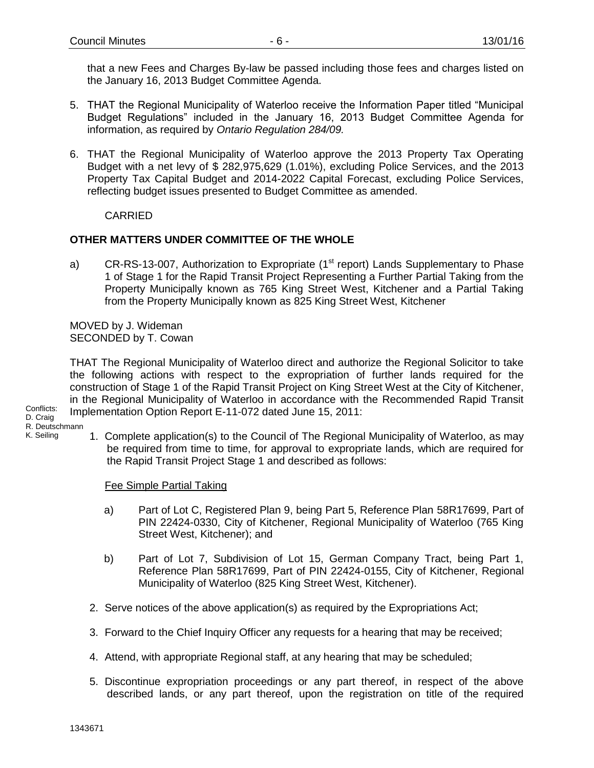that a new Fees and Charges By-law be passed including those fees and charges listed on the January 16, 2013 Budget Committee Agenda.

- 5. THAT the Regional Municipality of Waterloo receive the Information Paper titled "Municipal Budget Regulations" included in the January 16, 2013 Budget Committee Agenda for information, as required by *Ontario Regulation 284/09.*
- 6. THAT the Regional Municipality of Waterloo approve the 2013 Property Tax Operating Budget with a net levy of \$ 282,975,629 (1.01%), excluding Police Services, and the 2013 Property Tax Capital Budget and 2014-2022 Capital Forecast, excluding Police Services, reflecting budget issues presented to Budget Committee as amended.

**CARRIED** 

# **OTHER MATTERS UNDER COMMITTEE OF THE WHOLE**

a) CR-RS-13-007, Authorization to Expropriate ( $1<sup>st</sup>$  report) Lands Supplementary to Phase 1 of Stage 1 for the Rapid Transit Project Representing a Further Partial Taking from the Property Municipally known as 765 King Street West, Kitchener and a Partial Taking from the Property Municipally known as 825 King Street West, Kitchener

MOVED by J. Wideman SECONDED by T. Cowan

THAT The Regional Municipality of Waterloo direct and authorize the Regional Solicitor to take the following actions with respect to the expropriation of further lands required for the construction of Stage 1 of the Rapid Transit Project on King Street West at the City of Kitchener, in the Regional Municipality of Waterloo in accordance with the Recommended Rapid Transit Implementation Option Report E-11-072 dated June 15, 2011:

Conflicts: D. Craig R. Deutschmann K. Seiling

1. Complete application(s) to the Council of The Regional Municipality of Waterloo, as may be required from time to time, for approval to expropriate lands, which are required for the Rapid Transit Project Stage 1 and described as follows:

Fee Simple Partial Taking

- a) Part of Lot C, Registered Plan 9, being Part 5, Reference Plan 58R17699, Part of PIN 22424-0330, City of Kitchener, Regional Municipality of Waterloo (765 King Street West, Kitchener); and
- b) Part of Lot 7, Subdivision of Lot 15, German Company Tract, being Part 1, Reference Plan 58R17699, Part of PIN 22424-0155, City of Kitchener, Regional Municipality of Waterloo (825 King Street West, Kitchener).
- 2. Serve notices of the above application(s) as required by the Expropriations Act;
- 3. Forward to the Chief Inquiry Officer any requests for a hearing that may be received;
- 4. Attend, with appropriate Regional staff, at any hearing that may be scheduled;
- 5. Discontinue expropriation proceedings or any part thereof, in respect of the above described lands, or any part thereof, upon the registration on title of the required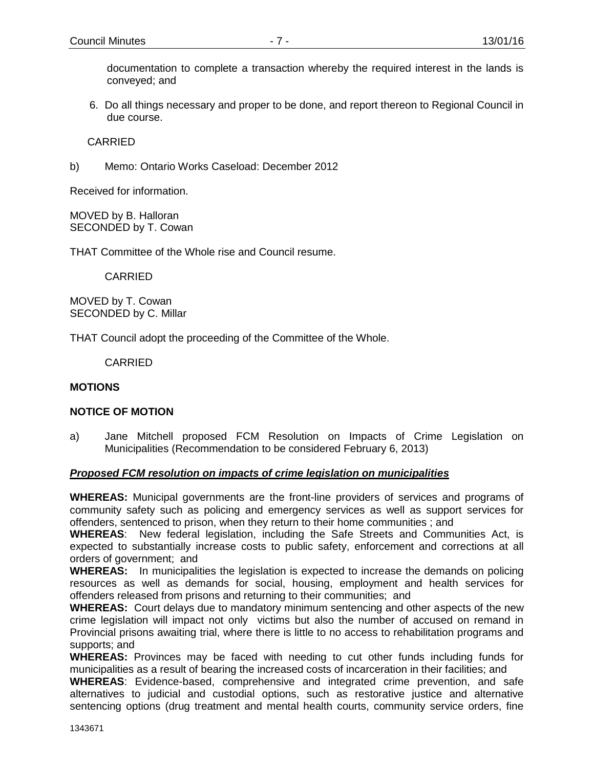documentation to complete a transaction whereby the required interest in the lands is conveyed; and

6. Do all things necessary and proper to be done, and report thereon to Regional Council in due course.

CARRIED

b) Memo: Ontario Works Caseload: December 2012

Received for information.

MOVED by B. Halloran SECONDED by T. Cowan

THAT Committee of the Whole rise and Council resume.

CARRIED

MOVED by T. Cowan SECONDED by C. Millar

THAT Council adopt the proceeding of the Committee of the Whole.

CARRIED

#### **MOTIONS**

#### **NOTICE OF MOTION**

a) Jane Mitchell proposed FCM Resolution on Impacts of Crime Legislation on Municipalities (Recommendation to be considered February 6, 2013)

#### *Proposed FCM resolution on impacts of crime legislation on municipalities*

**WHEREAS:** Municipal governments are the front-line providers of services and programs of community safety such as policing and emergency services as well as support services for offenders, sentenced to prison, when they return to their home communities ; and

**WHEREAS**: New federal legislation, including the Safe Streets and Communities Act, is expected to substantially increase costs to public safety, enforcement and corrections at all orders of government; and

**WHEREAS:** In municipalities the legislation is expected to increase the demands on policing resources as well as demands for social, housing, employment and health services for offenders released from prisons and returning to their communities; and

**WHEREAS:** Court delays due to mandatory minimum sentencing and other aspects of the new crime legislation will impact not only victims but also the number of accused on remand in Provincial prisons awaiting trial, where there is little to no access to rehabilitation programs and supports; and

**WHEREAS:** Provinces may be faced with needing to cut other funds including funds for municipalities as a result of bearing the increased costs of incarceration in their facilities; and

**WHEREAS**: Evidence-based, comprehensive and integrated crime prevention, and safe alternatives to judicial and custodial options, such as restorative justice and alternative sentencing options (drug treatment and mental health courts, community service orders, fine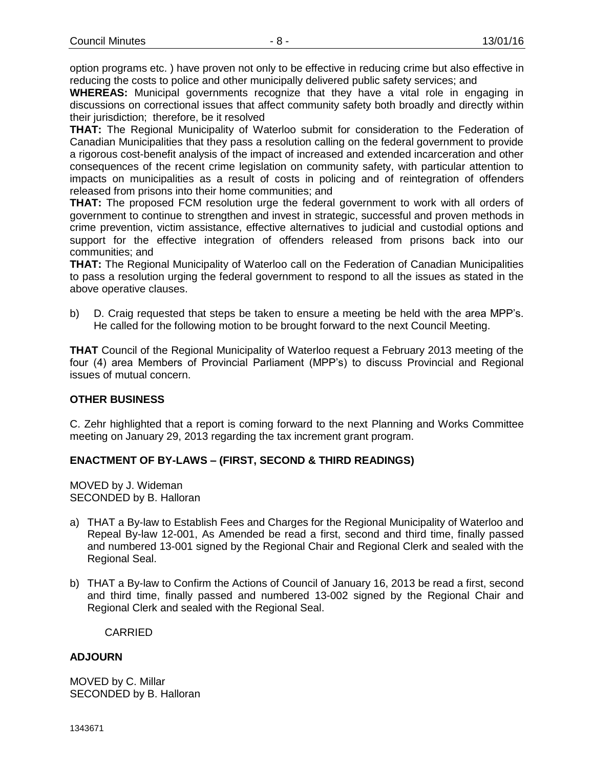option programs etc. ) have proven not only to be effective in reducing crime but also effective in reducing the costs to police and other municipally delivered public safety services; and

**WHEREAS:** Municipal governments recognize that they have a vital role in engaging in discussions on correctional issues that affect community safety both broadly and directly within their jurisdiction; therefore, be it resolved

**THAT:** The Regional Municipality of Waterloo submit for consideration to the Federation of Canadian Municipalities that they pass a resolution calling on the federal government to provide a rigorous cost-benefit analysis of the impact of increased and extended incarceration and other consequences of the recent crime legislation on community safety, with particular attention to impacts on municipalities as a result of costs in policing and of reintegration of offenders released from prisons into their home communities; and

**THAT:** The proposed FCM resolution urge the federal government to work with all orders of government to continue to strengthen and invest in strategic, successful and proven methods in crime prevention, victim assistance, effective alternatives to judicial and custodial options and support for the effective integration of offenders released from prisons back into our communities; and

**THAT:** The Regional Municipality of Waterloo call on the Federation of Canadian Municipalities to pass a resolution urging the federal government to respond to all the issues as stated in the above operative clauses.

b) D. Craig requested that steps be taken to ensure a meeting be held with the area MPP's. He called for the following motion to be brought forward to the next Council Meeting.

**THAT** Council of the Regional Municipality of Waterloo request a February 2013 meeting of the four (4) area Members of Provincial Parliament (MPP's) to discuss Provincial and Regional issues of mutual concern.

## **OTHER BUSINESS**

C. Zehr highlighted that a report is coming forward to the next Planning and Works Committee meeting on January 29, 2013 regarding the tax increment grant program.

## **ENACTMENT OF BY-LAWS – (FIRST, SECOND & THIRD READINGS)**

MOVED by J. Wideman SECONDED by B. Halloran

- a) THAT a By-law to Establish Fees and Charges for the Regional Municipality of Waterloo and Repeal By-law 12-001, As Amended be read a first, second and third time, finally passed and numbered 13-001 signed by the Regional Chair and Regional Clerk and sealed with the Regional Seal.
- b) THAT a By-law to Confirm the Actions of Council of January 16, 2013 be read a first, second and third time, finally passed and numbered 13-002 signed by the Regional Chair and Regional Clerk and sealed with the Regional Seal.

CARRIED

### **ADJOURN**

MOVED by C. Millar SECONDED by B. Halloran